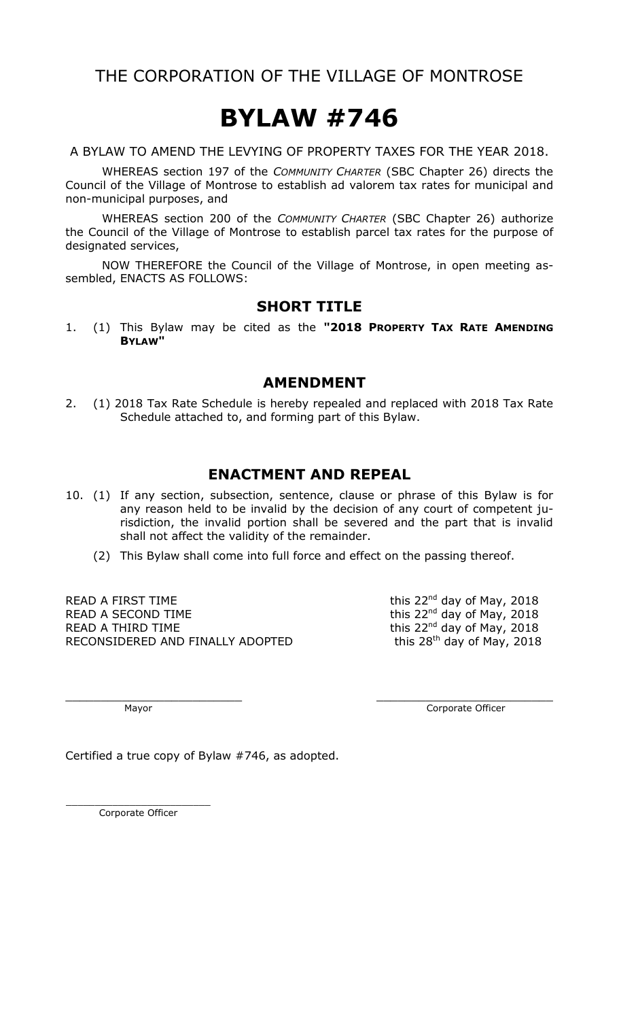THE CORPORATION OF THE VILLAGE OF MONTROSE

## **BYLAW #746**

A BYLAW TO AMEND THE LEVYING OF PROPERTY TAXES FOR THE YEAR 2018.

WHEREAS section 197 of the *COMMUNITY CHARTER* (SBC Chapter 26) directs the Council of the Village of Montrose to establish ad valorem tax rates for municipal and non-municipal purposes, and

WHEREAS section 200 of the *COMMUNITY CHARTER* (SBC Chapter 26) authorize the Council of the Village of Montrose to establish parcel tax rates for the purpose of designated services,

NOW THEREFORE the Council of the Village of Montrose, in open meeting assembled, ENACTS AS FOLLOWS:

#### **SHORT TITLE**

1. (1) This Bylaw may be cited as the **"2018 PROPERTY TAX RATE AMENDING BYLAW"**

#### **AMENDMENT**

2. (1) 2018 Tax Rate Schedule is hereby repealed and replaced with 2018 Tax Rate Schedule attached to, and forming part of this Bylaw.

#### **ENACTMENT AND REPEAL**

- 10. (1) If any section, subsection, sentence, clause or phrase of this Bylaw is for any reason held to be invalid by the decision of any court of competent jurisdiction, the invalid portion shall be severed and the part that is invalid shall not affect the validity of the remainder.
	- (2) This Bylaw shall come into full force and effect on the passing thereof.

READ A FIRST TIME  $\sim$  this 22<sup>nd</sup> day of May, 2018 READ A SECOND TIME  $\mu$  and this 22<sup>nd</sup> day of May, 2018 READ A THIRD TIME **READ A THIRD TIME** this 22<sup>nd</sup> day of May, 2018<br>RECONSIDERED AND FINALLY ADOPTED this 28<sup>th</sup> day of May, 2018 RECONSIDERED AND FINALLY ADOPTED

\_\_\_\_\_\_\_\_\_\_\_\_\_\_\_\_\_\_\_\_\_\_\_\_\_ \_\_\_\_\_\_\_\_\_\_\_\_\_\_\_\_\_\_\_\_\_\_\_\_\_ Mayor **Community** Community Community Community Community Community Community Community Community Community Community Community Community Community Community Community Community Community Community Community Community Comm

Certified a true copy of Bylaw #746, as adopted.

\_\_\_\_\_\_\_\_\_\_\_\_\_\_\_\_\_\_\_\_\_\_\_\_\_ Corporate Officer